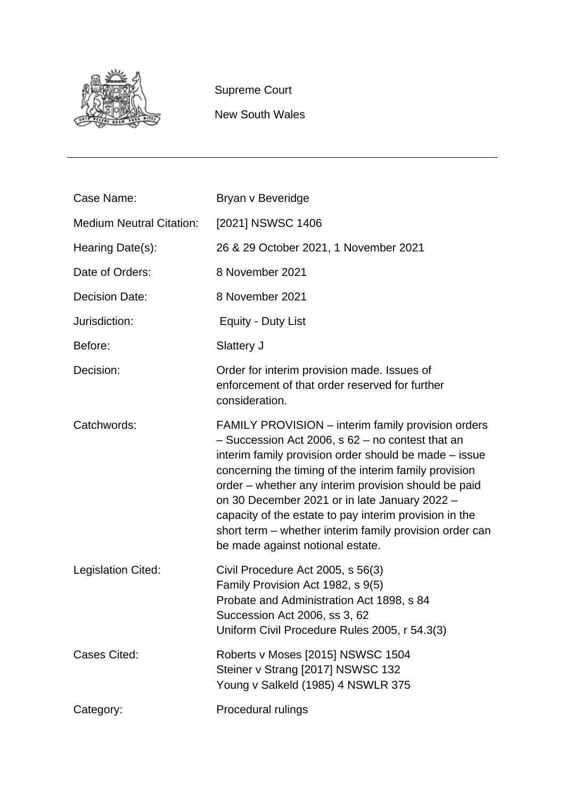

Supreme Court

New South Wales

| Case Name:                      | Bryan v Beveridge                                                                                                                                                                                                                                                                                                                                                                                                                                                                              |
|---------------------------------|------------------------------------------------------------------------------------------------------------------------------------------------------------------------------------------------------------------------------------------------------------------------------------------------------------------------------------------------------------------------------------------------------------------------------------------------------------------------------------------------|
| <b>Medium Neutral Citation:</b> | [2021] NSWSC 1406                                                                                                                                                                                                                                                                                                                                                                                                                                                                              |
| Hearing Date(s):                | 26 & 29 October 2021, 1 November 2021                                                                                                                                                                                                                                                                                                                                                                                                                                                          |
| Date of Orders:                 | 8 November 2021                                                                                                                                                                                                                                                                                                                                                                                                                                                                                |
| <b>Decision Date:</b>           | 8 November 2021                                                                                                                                                                                                                                                                                                                                                                                                                                                                                |
| Jurisdiction:                   | Equity - Duty List                                                                                                                                                                                                                                                                                                                                                                                                                                                                             |
| Before:                         | Slattery J                                                                                                                                                                                                                                                                                                                                                                                                                                                                                     |
| Decision:                       | Order for interim provision made. Issues of<br>enforcement of that order reserved for further<br>consideration.                                                                                                                                                                                                                                                                                                                                                                                |
| Catchwords:                     | FAMILY PROVISION - interim family provision orders<br>$-$ Succession Act 2006, s 62 $-$ no contest that an<br>interim family provision order should be made – issue<br>concerning the timing of the interim family provision<br>order – whether any interim provision should be paid<br>on 30 December 2021 or in late January 2022 -<br>capacity of the estate to pay interim provision in the<br>short term – whether interim family provision order can<br>be made against notional estate. |
| Legislation Cited:              | Civil Procedure Act 2005, s 56(3)<br>Family Provision Act 1982, s 9(5)<br>Probate and Administration Act 1898, s 84<br>Succession Act 2006, ss 3, 62<br>Uniform Civil Procedure Rules 2005, r 54.3(3)                                                                                                                                                                                                                                                                                          |
| Cases Cited:                    | Roberts v Moses [2015] NSWSC 1504<br>Steiner v Strang [2017] NSWSC 132<br>Young v Salkeld (1985) 4 NSWLR 375                                                                                                                                                                                                                                                                                                                                                                                   |
| Category:                       | Procedural rulings                                                                                                                                                                                                                                                                                                                                                                                                                                                                             |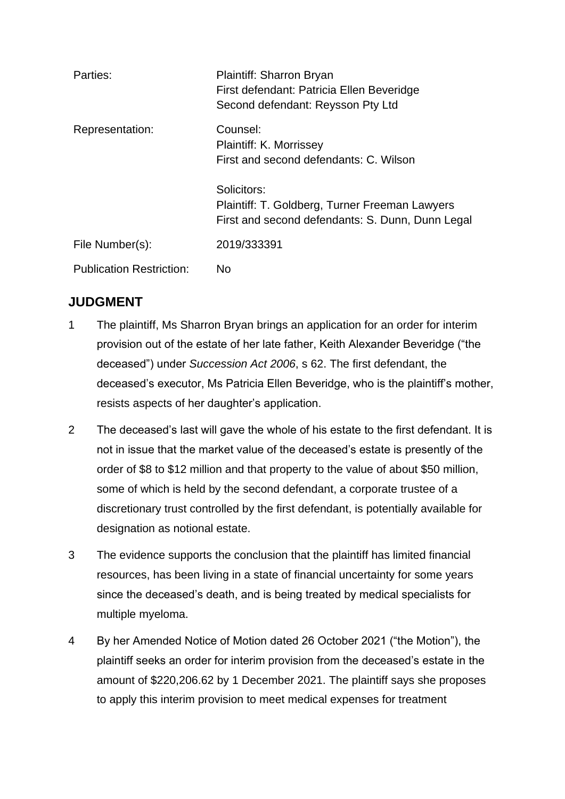| Parties:                        | Plaintiff: Sharron Bryan<br>First defendant: Patricia Ellen Beveridge<br>Second defendant: Reysson Pty Ltd        |
|---------------------------------|-------------------------------------------------------------------------------------------------------------------|
| Representation:                 | Counsel:<br>Plaintiff: K. Morrissey<br>First and second defendants: C. Wilson                                     |
|                                 | Solicitors:<br>Plaintiff: T. Goldberg, Turner Freeman Lawyers<br>First and second defendants: S. Dunn, Dunn Legal |
| File Number(s):                 | 2019/333391                                                                                                       |
| <b>Publication Restriction:</b> | No                                                                                                                |

# **JUDGMENT**

- 1 The plaintiff, Ms Sharron Bryan brings an application for an order for interim provision out of the estate of her late father, Keith Alexander Beveridge ("the deceased") under *Succession Act 2006*, s 62. The first defendant, the deceased's executor, Ms Patricia Ellen Beveridge, who is the plaintiff's mother, resists aspects of her daughter's application.
- 2 The deceased's last will gave the whole of his estate to the first defendant. It is not in issue that the market value of the deceased's estate is presently of the order of \$8 to \$12 million and that property to the value of about \$50 million, some of which is held by the second defendant, a corporate trustee of a discretionary trust controlled by the first defendant, is potentially available for designation as notional estate.
- 3 The evidence supports the conclusion that the plaintiff has limited financial resources, has been living in a state of financial uncertainty for some years since the deceased's death, and is being treated by medical specialists for multiple myeloma.
- 4 By her Amended Notice of Motion dated 26 October 2021 ("the Motion"), the plaintiff seeks an order for interim provision from the deceased's estate in the amount of \$220,206.62 by 1 December 2021. The plaintiff says she proposes to apply this interim provision to meet medical expenses for treatment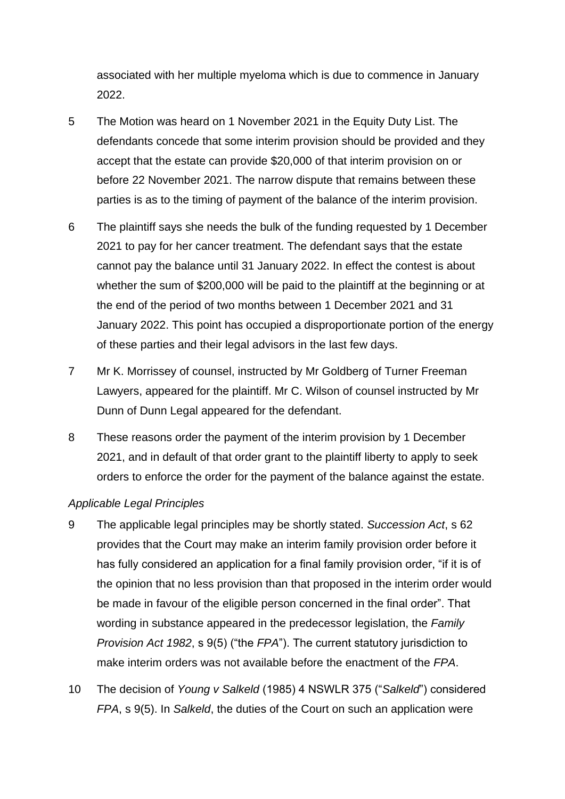associated with her multiple myeloma which is due to commence in January 2022.

- 5 The Motion was heard on 1 November 2021 in the Equity Duty List. The defendants concede that some interim provision should be provided and they accept that the estate can provide \$20,000 of that interim provision on or before 22 November 2021. The narrow dispute that remains between these parties is as to the timing of payment of the balance of the interim provision.
- 6 The plaintiff says she needs the bulk of the funding requested by 1 December 2021 to pay for her cancer treatment. The defendant says that the estate cannot pay the balance until 31 January 2022. In effect the contest is about whether the sum of \$200,000 will be paid to the plaintiff at the beginning or at the end of the period of two months between 1 December 2021 and 31 January 2022. This point has occupied a disproportionate portion of the energy of these parties and their legal advisors in the last few days.
- 7 Mr K. Morrissey of counsel, instructed by Mr Goldberg of Turner Freeman Lawyers, appeared for the plaintiff. Mr C. Wilson of counsel instructed by Mr Dunn of Dunn Legal appeared for the defendant.
- 8 These reasons order the payment of the interim provision by 1 December 2021, and in default of that order grant to the plaintiff liberty to apply to seek orders to enforce the order for the payment of the balance against the estate.

## *Applicable Legal Principles*

- 9 The applicable legal principles may be shortly stated. *Succession Act*, s 62 provides that the Court may make an interim family provision order before it has fully considered an application for a final family provision order, "if it is of the opinion that no less provision than that proposed in the interim order would be made in favour of the eligible person concerned in the final order". That wording in substance appeared in the predecessor legislation, the *Family Provision Act 1982*, s 9(5) ("the *FPA*"). The current statutory jurisdiction to make interim orders was not available before the enactment of the *FPA*.
- 10 The decision of *Young v Salkeld* (1985) 4 NSWLR 375 ("*Salkeld*") considered *FPA*, s 9(5). In *Salkeld*, the duties of the Court on such an application were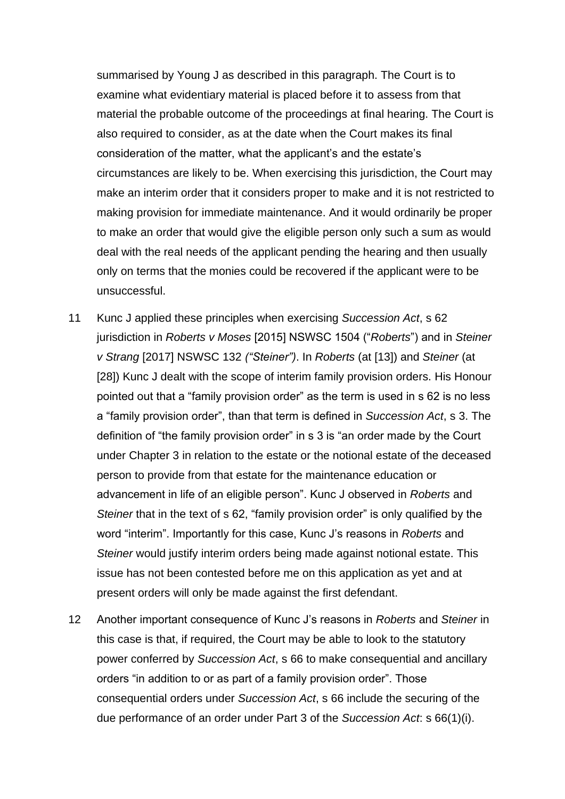summarised by Young J as described in this paragraph. The Court is to examine what evidentiary material is placed before it to assess from that material the probable outcome of the proceedings at final hearing. The Court is also required to consider, as at the date when the Court makes its final consideration of the matter, what the applicant's and the estate's circumstances are likely to be. When exercising this jurisdiction, the Court may make an interim order that it considers proper to make and it is not restricted to making provision for immediate maintenance. And it would ordinarily be proper to make an order that would give the eligible person only such a sum as would deal with the real needs of the applicant pending the hearing and then usually only on terms that the monies could be recovered if the applicant were to be unsuccessful.

- 11 Kunc J applied these principles when exercising *Succession Act*, s 62 jurisdiction in *Roberts v Moses* [2015] NSWSC 1504 ("*Roberts*") and in *Steiner v Strang* [2017] NSWSC 132 *("Steiner")*. In *Roberts* (at [13]) and *Steiner* (at [28]) Kunc J dealt with the scope of interim family provision orders. His Honour pointed out that a "family provision order" as the term is used in s 62 is no less a "family provision order", than that term is defined in *Succession Act*, s 3. The definition of "the family provision order" in s 3 is "an order made by the Court under Chapter 3 in relation to the estate or the notional estate of the deceased person to provide from that estate for the maintenance education or advancement in life of an eligible person". Kunc J observed in *Roberts* and *Steiner* that in the text of s 62, "family provision order" is only qualified by the word "interim". Importantly for this case, Kunc J's reasons in *Roberts* and *Steiner* would justify interim orders being made against notional estate. This issue has not been contested before me on this application as yet and at present orders will only be made against the first defendant.
- 12 Another important consequence of Kunc J's reasons in *Roberts* and *Steiner* in this case is that, if required, the Court may be able to look to the statutory power conferred by *Succession Act*, s 66 to make consequential and ancillary orders "in addition to or as part of a family provision order". Those consequential orders under *Succession Act*, s 66 include the securing of the due performance of an order under Part 3 of the *Succession Act*: s 66(1)(i).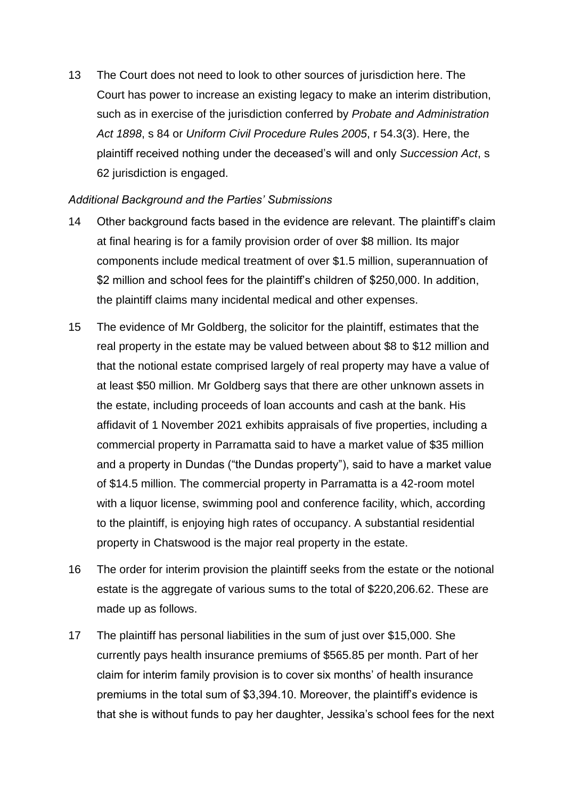13 The Court does not need to look to other sources of jurisdiction here. The Court has power to increase an existing legacy to make an interim distribution, such as in exercise of the jurisdiction conferred by *Probate and Administration Act 1898*, s 84 or *Uniform Civil Procedure Rule*s *2005*, r 54.3(3). Here, the plaintiff received nothing under the deceased's will and only *Succession Act*, s 62 jurisdiction is engaged.

## *Additional Background and the Parties' Submissions*

- 14 Other background facts based in the evidence are relevant. The plaintiff's claim at final hearing is for a family provision order of over \$8 million. Its major components include medical treatment of over \$1.5 million, superannuation of \$2 million and school fees for the plaintiff's children of \$250,000. In addition, the plaintiff claims many incidental medical and other expenses.
- 15 The evidence of Mr Goldberg, the solicitor for the plaintiff, estimates that the real property in the estate may be valued between about \$8 to \$12 million and that the notional estate comprised largely of real property may have a value of at least \$50 million. Mr Goldberg says that there are other unknown assets in the estate, including proceeds of loan accounts and cash at the bank. His affidavit of 1 November 2021 exhibits appraisals of five properties, including a commercial property in Parramatta said to have a market value of \$35 million and a property in Dundas ("the Dundas property"), said to have a market value of \$14.5 million. The commercial property in Parramatta is a 42-room motel with a liquor license, swimming pool and conference facility, which, according to the plaintiff, is enjoying high rates of occupancy. A substantial residential property in Chatswood is the major real property in the estate.
- 16 The order for interim provision the plaintiff seeks from the estate or the notional estate is the aggregate of various sums to the total of \$220,206.62. These are made up as follows.
- 17 The plaintiff has personal liabilities in the sum of just over \$15,000. She currently pays health insurance premiums of \$565.85 per month. Part of her claim for interim family provision is to cover six months' of health insurance premiums in the total sum of \$3,394.10. Moreover, the plaintiff's evidence is that she is without funds to pay her daughter, Jessika's school fees for the next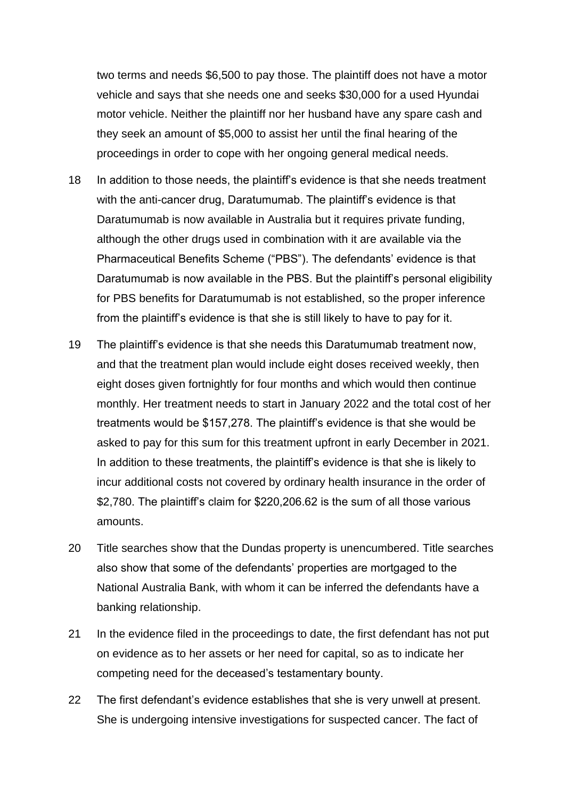two terms and needs \$6,500 to pay those. The plaintiff does not have a motor vehicle and says that she needs one and seeks \$30,000 for a used Hyundai motor vehicle. Neither the plaintiff nor her husband have any spare cash and they seek an amount of \$5,000 to assist her until the final hearing of the proceedings in order to cope with her ongoing general medical needs.

- 18 In addition to those needs, the plaintiff's evidence is that she needs treatment with the anti-cancer drug, Daratumumab. The plaintiff's evidence is that Daratumumab is now available in Australia but it requires private funding, although the other drugs used in combination with it are available via the Pharmaceutical Benefits Scheme ("PBS"). The defendants' evidence is that Daratumumab is now available in the PBS. But the plaintiff's personal eligibility for PBS benefits for Daratumumab is not established, so the proper inference from the plaintiff's evidence is that she is still likely to have to pay for it.
- 19 The plaintiff's evidence is that she needs this Daratumumab treatment now, and that the treatment plan would include eight doses received weekly, then eight doses given fortnightly for four months and which would then continue monthly. Her treatment needs to start in January 2022 and the total cost of her treatments would be \$157,278. The plaintiff's evidence is that she would be asked to pay for this sum for this treatment upfront in early December in 2021. In addition to these treatments, the plaintiff's evidence is that she is likely to incur additional costs not covered by ordinary health insurance in the order of \$2,780. The plaintiff's claim for \$220,206.62 is the sum of all those various amounts.
- 20 Title searches show that the Dundas property is unencumbered. Title searches also show that some of the defendants' properties are mortgaged to the National Australia Bank, with whom it can be inferred the defendants have a banking relationship.
- 21 In the evidence filed in the proceedings to date, the first defendant has not put on evidence as to her assets or her need for capital, so as to indicate her competing need for the deceased's testamentary bounty.
- 22 The first defendant's evidence establishes that she is very unwell at present. She is undergoing intensive investigations for suspected cancer. The fact of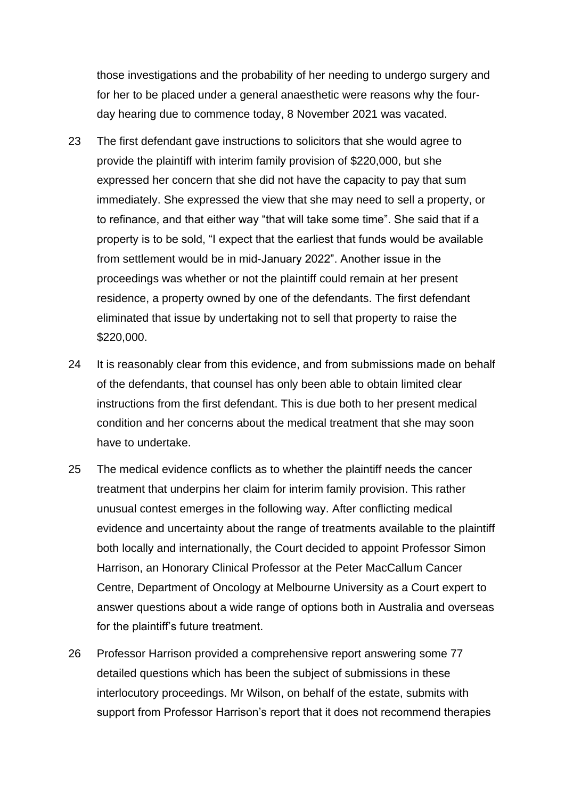those investigations and the probability of her needing to undergo surgery and for her to be placed under a general anaesthetic were reasons why the fourday hearing due to commence today, 8 November 2021 was vacated.

- 23 The first defendant gave instructions to solicitors that she would agree to provide the plaintiff with interim family provision of \$220,000, but she expressed her concern that she did not have the capacity to pay that sum immediately. She expressed the view that she may need to sell a property, or to refinance, and that either way "that will take some time". She said that if a property is to be sold, "I expect that the earliest that funds would be available from settlement would be in mid-January 2022". Another issue in the proceedings was whether or not the plaintiff could remain at her present residence, a property owned by one of the defendants. The first defendant eliminated that issue by undertaking not to sell that property to raise the \$220,000.
- 24 It is reasonably clear from this evidence, and from submissions made on behalf of the defendants, that counsel has only been able to obtain limited clear instructions from the first defendant. This is due both to her present medical condition and her concerns about the medical treatment that she may soon have to undertake.
- 25 The medical evidence conflicts as to whether the plaintiff needs the cancer treatment that underpins her claim for interim family provision. This rather unusual contest emerges in the following way. After conflicting medical evidence and uncertainty about the range of treatments available to the plaintiff both locally and internationally, the Court decided to appoint Professor Simon Harrison, an Honorary Clinical Professor at the Peter MacCallum Cancer Centre, Department of Oncology at Melbourne University as a Court expert to answer questions about a wide range of options both in Australia and overseas for the plaintiff's future treatment.
- 26 Professor Harrison provided a comprehensive report answering some 77 detailed questions which has been the subject of submissions in these interlocutory proceedings. Mr Wilson, on behalf of the estate, submits with support from Professor Harrison's report that it does not recommend therapies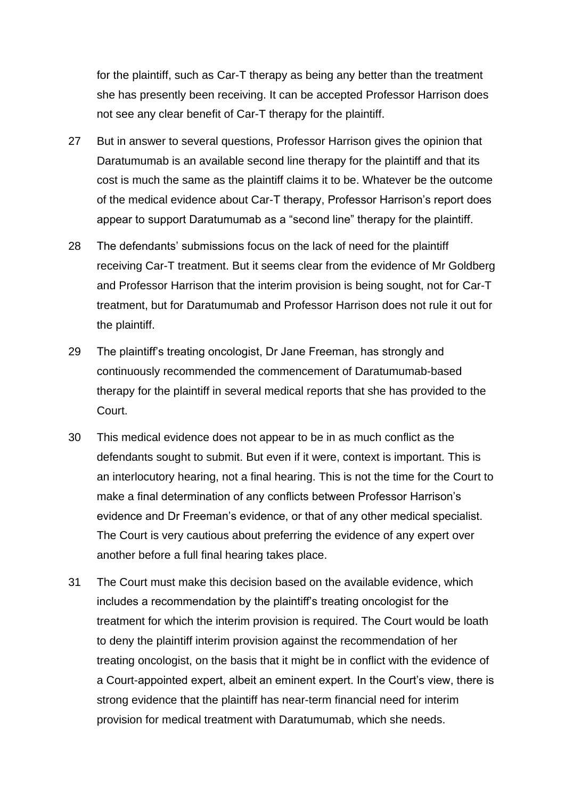for the plaintiff, such as Car-T therapy as being any better than the treatment she has presently been receiving. It can be accepted Professor Harrison does not see any clear benefit of Car-T therapy for the plaintiff.

- 27 But in answer to several questions, Professor Harrison gives the opinion that Daratumumab is an available second line therapy for the plaintiff and that its cost is much the same as the plaintiff claims it to be. Whatever be the outcome of the medical evidence about Car-T therapy, Professor Harrison's report does appear to support Daratumumab as a "second line" therapy for the plaintiff.
- 28 The defendants' submissions focus on the lack of need for the plaintiff receiving Car-T treatment. But it seems clear from the evidence of Mr Goldberg and Professor Harrison that the interim provision is being sought, not for Car-T treatment, but for Daratumumab and Professor Harrison does not rule it out for the plaintiff.
- 29 The plaintiff's treating oncologist, Dr Jane Freeman, has strongly and continuously recommended the commencement of Daratumumab-based therapy for the plaintiff in several medical reports that she has provided to the Court.
- 30 This medical evidence does not appear to be in as much conflict as the defendants sought to submit. But even if it were, context is important. This is an interlocutory hearing, not a final hearing. This is not the time for the Court to make a final determination of any conflicts between Professor Harrison's evidence and Dr Freeman's evidence, or that of any other medical specialist. The Court is very cautious about preferring the evidence of any expert over another before a full final hearing takes place.
- 31 The Court must make this decision based on the available evidence, which includes a recommendation by the plaintiff's treating oncologist for the treatment for which the interim provision is required. The Court would be loath to deny the plaintiff interim provision against the recommendation of her treating oncologist, on the basis that it might be in conflict with the evidence of a Court-appointed expert, albeit an eminent expert. In the Court's view, there is strong evidence that the plaintiff has near-term financial need for interim provision for medical treatment with Daratumumab, which she needs.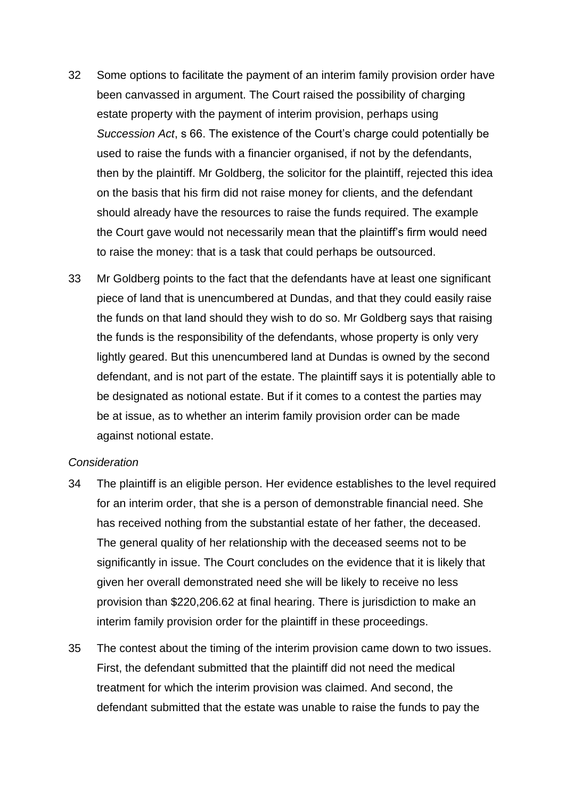- 32 Some options to facilitate the payment of an interim family provision order have been canvassed in argument. The Court raised the possibility of charging estate property with the payment of interim provision, perhaps using *Succession Act*, s 66. The existence of the Court's charge could potentially be used to raise the funds with a financier organised, if not by the defendants, then by the plaintiff. Mr Goldberg, the solicitor for the plaintiff, rejected this idea on the basis that his firm did not raise money for clients, and the defendant should already have the resources to raise the funds required. The example the Court gave would not necessarily mean that the plaintiff's firm would need to raise the money: that is a task that could perhaps be outsourced.
- 33 Mr Goldberg points to the fact that the defendants have at least one significant piece of land that is unencumbered at Dundas, and that they could easily raise the funds on that land should they wish to do so. Mr Goldberg says that raising the funds is the responsibility of the defendants, whose property is only very lightly geared. But this unencumbered land at Dundas is owned by the second defendant, and is not part of the estate. The plaintiff says it is potentially able to be designated as notional estate. But if it comes to a contest the parties may be at issue, as to whether an interim family provision order can be made against notional estate.

### *Consideration*

- 34 The plaintiff is an eligible person. Her evidence establishes to the level required for an interim order, that she is a person of demonstrable financial need. She has received nothing from the substantial estate of her father, the deceased. The general quality of her relationship with the deceased seems not to be significantly in issue. The Court concludes on the evidence that it is likely that given her overall demonstrated need she will be likely to receive no less provision than \$220,206.62 at final hearing. There is jurisdiction to make an interim family provision order for the plaintiff in these proceedings.
- 35 The contest about the timing of the interim provision came down to two issues. First, the defendant submitted that the plaintiff did not need the medical treatment for which the interim provision was claimed. And second, the defendant submitted that the estate was unable to raise the funds to pay the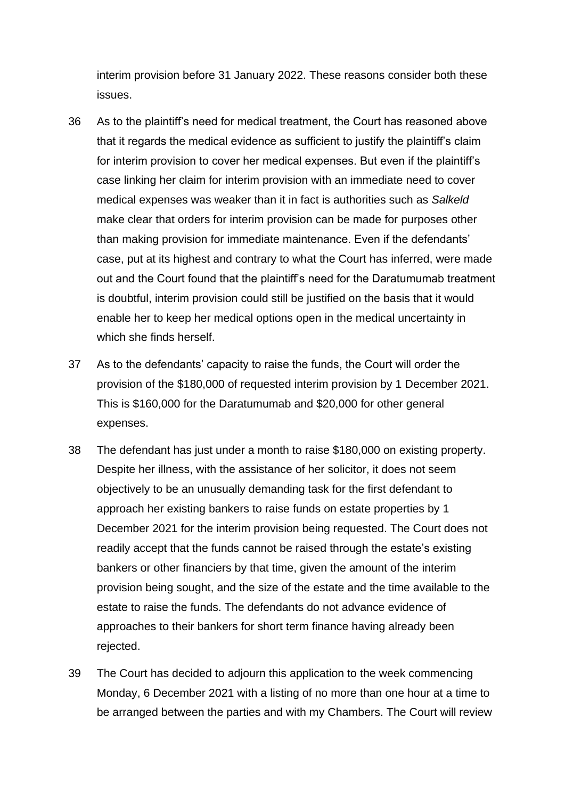interim provision before 31 January 2022. These reasons consider both these issues.

- 36 As to the plaintiff's need for medical treatment, the Court has reasoned above that it regards the medical evidence as sufficient to justify the plaintiff's claim for interim provision to cover her medical expenses. But even if the plaintiff's case linking her claim for interim provision with an immediate need to cover medical expenses was weaker than it in fact is authorities such as *Salkeld* make clear that orders for interim provision can be made for purposes other than making provision for immediate maintenance. Even if the defendants' case, put at its highest and contrary to what the Court has inferred, were made out and the Court found that the plaintiff's need for the Daratumumab treatment is doubtful, interim provision could still be justified on the basis that it would enable her to keep her medical options open in the medical uncertainty in which she finds herself.
- 37 As to the defendants' capacity to raise the funds, the Court will order the provision of the \$180,000 of requested interim provision by 1 December 2021. This is \$160,000 for the Daratumumab and \$20,000 for other general expenses.
- 38 The defendant has just under a month to raise \$180,000 on existing property. Despite her illness, with the assistance of her solicitor, it does not seem objectively to be an unusually demanding task for the first defendant to approach her existing bankers to raise funds on estate properties by 1 December 2021 for the interim provision being requested. The Court does not readily accept that the funds cannot be raised through the estate's existing bankers or other financiers by that time, given the amount of the interim provision being sought, and the size of the estate and the time available to the estate to raise the funds. The defendants do not advance evidence of approaches to their bankers for short term finance having already been rejected.
- 39 The Court has decided to adjourn this application to the week commencing Monday, 6 December 2021 with a listing of no more than one hour at a time to be arranged between the parties and with my Chambers. The Court will review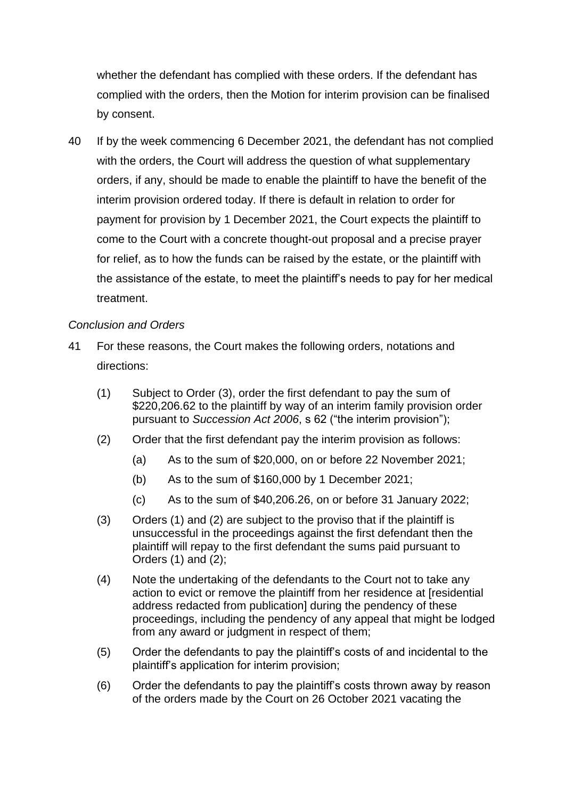whether the defendant has complied with these orders. If the defendant has complied with the orders, then the Motion for interim provision can be finalised by consent.

40 If by the week commencing 6 December 2021, the defendant has not complied with the orders, the Court will address the question of what supplementary orders, if any, should be made to enable the plaintiff to have the benefit of the interim provision ordered today. If there is default in relation to order for payment for provision by 1 December 2021, the Court expects the plaintiff to come to the Court with a concrete thought-out proposal and a precise prayer for relief, as to how the funds can be raised by the estate, or the plaintiff with the assistance of the estate, to meet the plaintiff's needs to pay for her medical treatment.

## *Conclusion and Orders*

- 41 For these reasons, the Court makes the following orders, notations and directions:
	- (1) Subject to Order (3), order the first defendant to pay the sum of \$220,206.62 to the plaintiff by way of an interim family provision order pursuant to *Succession Act 2006*, s 62 ("the interim provision");
	- (2) Order that the first defendant pay the interim provision as follows:
		- (a) As to the sum of \$20,000, on or before 22 November 2021;
		- (b) As to the sum of \$160,000 by 1 December 2021;
		- (c) As to the sum of \$40,206.26, on or before 31 January 2022;
	- (3) Orders (1) and (2) are subject to the proviso that if the plaintiff is unsuccessful in the proceedings against the first defendant then the plaintiff will repay to the first defendant the sums paid pursuant to Orders (1) and (2);
	- (4) Note the undertaking of the defendants to the Court not to take any action to evict or remove the plaintiff from her residence at [residential address redacted from publication] during the pendency of these proceedings, including the pendency of any appeal that might be lodged from any award or judgment in respect of them;
	- (5) Order the defendants to pay the plaintiff's costs of and incidental to the plaintiff's application for interim provision;
	- (6) Order the defendants to pay the plaintiff's costs thrown away by reason of the orders made by the Court on 26 October 2021 vacating the